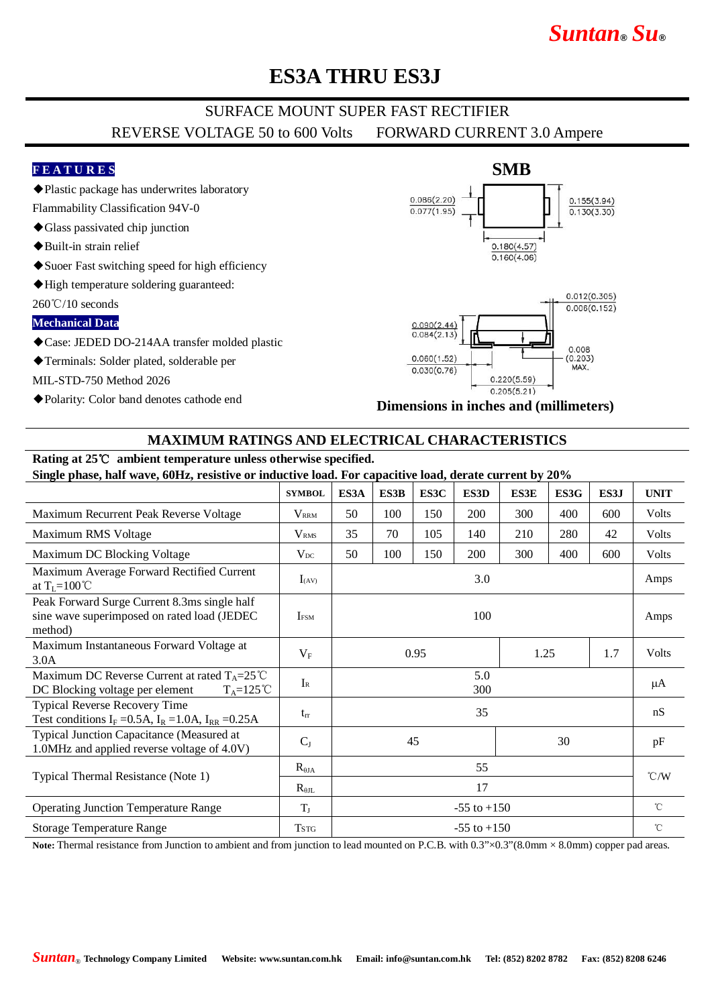# *Suntan***®** *Su***®**

## **ES3A THRU ES3J**

### SURFACE MOUNT SUPER FAST RECTIFIER REVERSE VOLTAGE 50 to 600 Volts FORWARD CURRENT 3.0 Ampere

### **F E A T U R E S**

- ◆Plastic package has underwrites laboratory
- Flammability Classification 94V-0
- ◆Glass passivated chip junction
- ◆Built-in strain relief
- ◆Suoer Fast switching speed for high efficiency
- ◆High temperature soldering guaranteed:

 $260^{\circ}\text{C}/10$  seconds

**Mechanical Data**

- ◆Case: JEDED DO-214AA transfer molded plastic
- ◆Terminals: Solder plated, solderable per

MIL-STD-750 Method 2026

◆Polarity: Color band denotes cathode end



**Dimensions in inches and (millimeters)**

### **MAXIMUM RATINGS AND ELECTRICAL CHARACTERISTICS**

## **Rating at 25**℃ **ambient temperature unless otherwise specified.**

#### **Single phase, half wave, 60Hz, resistive or inductive load. For capacitive load, derate current by 20%**

|                                                                                                                  | <b>SYMBOL</b>           | ES3A            | ES3B | ES3C | ES3D       | <b>ES3E</b> | ES3G | ES3J         | <b>UNIT</b>        |
|------------------------------------------------------------------------------------------------------------------|-------------------------|-----------------|------|------|------------|-------------|------|--------------|--------------------|
| Maximum Recurrent Peak Reverse Voltage                                                                           | <b>VRRM</b>             | 50              | 100  | 150  | 200        | 300         | 400  | 600          | Volts              |
| Maximum RMS Voltage                                                                                              | <b>V</b> <sub>RMS</sub> | 35              | 70   | 105  | 140        | 210         | 280  | 42           | Volts              |
| Maximum DC Blocking Voltage                                                                                      | $V_{DC}$                | 50              | 100  | 150  | <b>200</b> | 300         | 400  | 600          | Volts              |
| Maximum Average Forward Rectified Current<br>at $T_L = 100^{\circ}C$                                             | $I_{(AV)}$              | 3.0             |      |      |            |             |      |              | Amps               |
| Peak Forward Surge Current 8.3ms single half<br>sine wave superimposed on rated load (JEDEC<br>method)           | <b>IFSM</b>             | 100             |      |      |            |             |      |              | Amps               |
| Maximum Instantaneous Forward Voltage at<br>3.0A                                                                 | $V_{\rm F}$             | 0.95            |      |      | 1.25       |             | 1.7  | <b>Volts</b> |                    |
| Maximum DC Reverse Current at rated $T_A = 25^{\circ}C$<br>$T_A=125^{\circ}C$<br>DC Blocking voltage per element | $I_{R}$                 | 5.0<br>300      |      |      |            |             |      |              | μA                 |
| <b>Typical Reverse Recovery Time</b><br>Test conditions $I_F = 0.5A$ , $I_R = 1.0A$ , $I_{RR} = 0.25A$           | $t_{rr}$                | 35              |      |      |            |             |      |              | nS                 |
| Typical Junction Capacitance (Measured at<br>1.0MHz and applied reverse voltage of 4.0V)                         | $C_{J}$                 | 45<br>30        |      |      |            |             |      | pF           |                    |
| Typical Thermal Resistance (Note 1)                                                                              | $R_{\theta JA}$         | 55              |      |      |            |             |      |              | $\rm ^{\circ}$ C/W |
|                                                                                                                  | $R_{\theta IL}$         | 17              |      |      |            |             |      |              |                    |
| <b>Operating Junction Temperature Range</b>                                                                      | $T_{J}$                 | $-55$ to $+150$ |      |      |            |             |      | $^{\circ}$ C |                    |
| <b>Storage Temperature Range</b>                                                                                 | <b>TSTG</b>             | $-55$ to $+150$ |      |      |            |             |      |              | $^{\circ}$ C       |
|                                                                                                                  |                         |                 |      |      |            |             |      |              |                    |

Note: Thermal resistance from Junction to ambient and from junction to lead mounted on P.C.B. with 0.3"×0.3"(8.0mm × 8.0mm) copper pad areas.